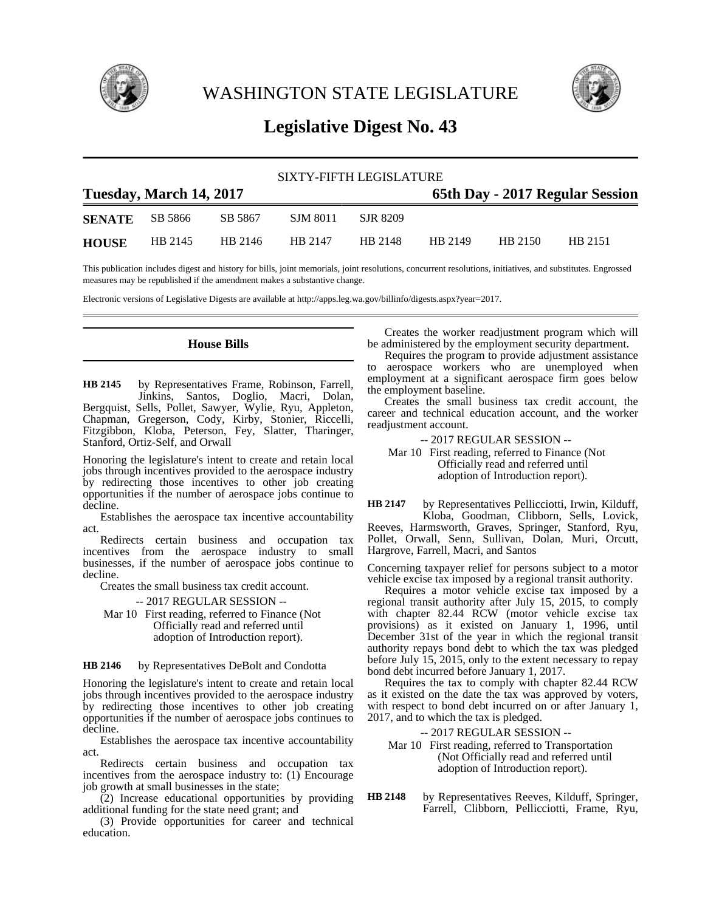

WASHINGTON STATE LEGISLATURE



# **Legislative Digest No. 43**

| SIXTY-FIFTH LEGISLATURE |         |         |          |          |                                 |         |         |  |
|-------------------------|---------|---------|----------|----------|---------------------------------|---------|---------|--|
| Tuesday, March 14, 2017 |         |         |          |          | 65th Day - 2017 Regular Session |         |         |  |
| <b>SENATE</b>           | SB 5866 | SB 5867 | SJM 8011 | SJR 8209 |                                 |         |         |  |
| <b>HOUSE</b>            | HB 2145 | HB 2146 | HB 2147  | HB 2148  | HB 2149                         | HB 2150 | HB 2151 |  |

This publication includes digest and history for bills, joint memorials, joint resolutions, concurrent resolutions, initiatives, and substitutes. Engrossed measures may be republished if the amendment makes a substantive change.

Electronic versions of Legislative Digests are available at http://apps.leg.wa.gov/billinfo/digests.aspx?year=2017.

### **House Bills**

by Representatives Frame, Robinson, Farrell, Jinkins, Santos, Doglio, Macri, Dolan, Bergquist, Sells, Pollet, Sawyer, Wylie, Ryu, Appleton, Chapman, Gregerson, Cody, Kirby, Stonier, Riccelli, Fitzgibbon, Kloba, Peterson, Fey, Slatter, Tharinger, Stanford, Ortiz-Self, and Orwall **HB 2145**

Honoring the legislature's intent to create and retain local jobs through incentives provided to the aerospace industry by redirecting those incentives to other job creating opportunities if the number of aerospace jobs continue to decline.

Establishes the aerospace tax incentive accountability act.

Redirects certain business and occupation tax incentives from the aerospace industry to small businesses, if the number of aerospace jobs continue to decline.

Creates the small business tax credit account.

-- 2017 REGULAR SESSION -- Mar 10 First reading, referred to Finance (Not Officially read and referred until adoption of Introduction report).

#### by Representatives DeBolt and Condotta **HB 2146**

Honoring the legislature's intent to create and retain local jobs through incentives provided to the aerospace industry by redirecting those incentives to other job creating opportunities if the number of aerospace jobs continues to decline.

Establishes the aerospace tax incentive accountability act.

Redirects certain business and occupation tax incentives from the aerospace industry to:  $(1)$  Encourage job growth at small businesses in the state;

 $(2)$  Increase educational opportunities by providing additional funding for the state need grant; and

(3) Provide opportunities for career and technical education.

Creates the worker readjustment program which will be administered by the employment security department.

Requires the program to provide adjustment assistance to aerospace workers who are unemployed when employment at a significant aerospace firm goes below the employment baseline.

Creates the small business tax credit account, the career and technical education account, and the worker readjustment account.

-- 2017 REGULAR SESSION --

Mar 10 First reading, referred to Finance (Not Officially read and referred until adoption of Introduction report).

by Representatives Pellicciotti, Irwin, Kilduff, Kloba, Goodman, Clibborn, Sells, Lovick, Reeves, Harmsworth, Graves, Springer, Stanford, Ryu, Pollet, Orwall, Senn, Sullivan, Dolan, Muri, Orcutt, Hargrove, Farrell, Macri, and Santos **HB 2147**

Concerning taxpayer relief for persons subject to a motor vehicle excise tax imposed by a regional transit authority.

Requires a motor vehicle excise tax imposed by a regional transit authority after July 15, 2015, to comply with chapter 82.44 RCW (motor vehicle excise tax provisions) as it existed on January 1, 1996, until December 31st of the year in which the regional transit authority repays bond debt to which the tax was pledged before July 15, 2015, only to the extent necessary to repay bond debt incurred before January 1, 2017.

Requires the tax to comply with chapter 82.44 RCW as it existed on the date the tax was approved by voters, with respect to bond debt incurred on or after January 1, 2017, and to which the tax is pledged.

-- 2017 REGULAR SESSION --

Mar 10 First reading, referred to Transportation (Not Officially read and referred until adoption of Introduction report).

by Representatives Reeves, Kilduff, Springer, Farrell, Clibborn, Pellicciotti, Frame, Ryu, **HB 2148**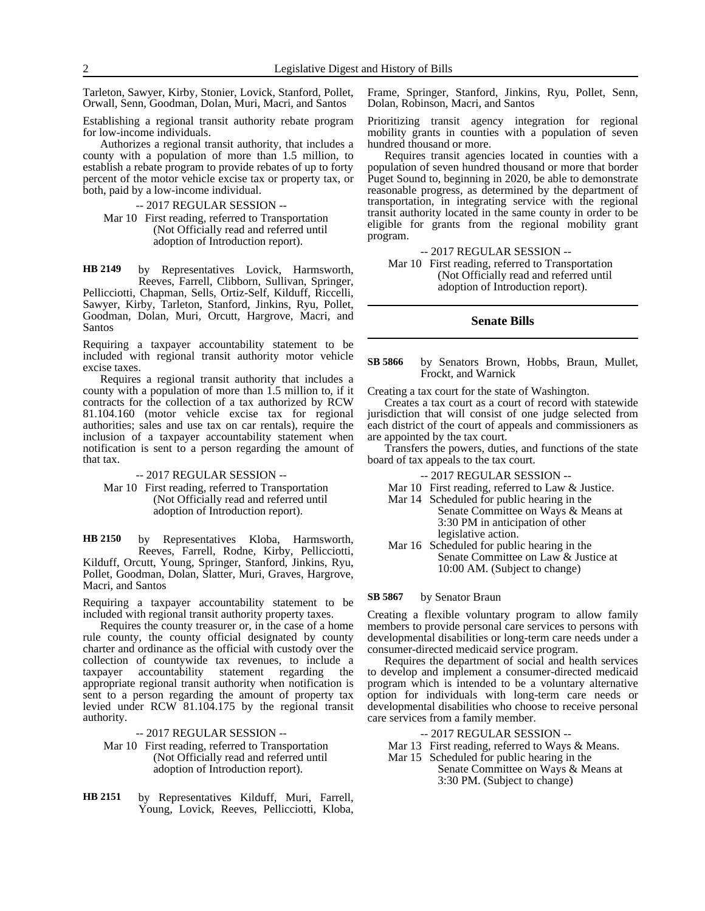Tarleton, Sawyer, Kirby, Stonier, Lovick, Stanford, Pollet, Orwall, Senn, Goodman, Dolan, Muri, Macri, and Santos

Establishing a regional transit authority rebate program for low-income individuals.

Authorizes a regional transit authority, that includes a county with a population of more than 1.5 million, to establish a rebate program to provide rebates of up to forty percent of the motor vehicle excise tax or property tax, or both, paid by a low-income individual.

-- 2017 REGULAR SESSION --

Mar 10 First reading, referred to Transportation (Not Officially read and referred until adoption of Introduction report).

by Representatives Lovick, Harmsworth, Reeves, Farrell, Clibborn, Sullivan, Springer, Pellicciotti, Chapman, Sells, Ortiz-Self, Kilduff, Riccelli, Sawyer, Kirby, Tarleton, Stanford, Jinkins, Ryu, Pollet, Goodman, Dolan, Muri, Orcutt, Hargrove, Macri, and Santos **HB 2149**

Requiring a taxpayer accountability statement to be included with regional transit authority motor vehicle excise taxes.

Requires a regional transit authority that includes a county with a population of more than 1.5 million to, if it contracts for the collection of a tax authorized by RCW 81.104.160 (motor vehicle excise tax for regional authorities; sales and use tax on car rentals), require the inclusion of a taxpayer accountability statement when notification is sent to a person regarding the amount of that tax.

#### -- 2017 REGULAR SESSION --

Mar 10 First reading, referred to Transportation (Not Officially read and referred until adoption of Introduction report).

by Representatives Kloba, Harmsworth, Reeves, Farrell, Rodne, Kirby, Pellicciotti, Kilduff, Orcutt, Young, Springer, Stanford, Jinkins, Ryu, Pollet, Goodman, Dolan, Slatter, Muri, Graves, Hargrove, Macri, and Santos **HB 2150**

Requiring a taxpayer accountability statement to be included with regional transit authority property taxes.

Requires the county treasurer or, in the case of a home rule county, the county official designated by county charter and ordinance as the official with custody over the collection of countywide tax revenues, to include a taxpayer accountability statement regarding the appropriate regional transit authority when notification is sent to a person regarding the amount of property tax levied under RCW 81.104.175 by the regional transit authority.

-- 2017 REGULAR SESSION --

- Mar 10 First reading, referred to Transportation (Not Officially read and referred until adoption of Introduction report).
- by Representatives Kilduff, Muri, Farrell, Young, Lovick, Reeves, Pellicciotti, Kloba, **HB 2151**

Frame, Springer, Stanford, Jinkins, Ryu, Pollet, Senn, Dolan, Robinson, Macri, and Santos

Prioritizing transit agency integration for regional mobility grants in counties with a population of seven hundred thousand or more.

Requires transit agencies located in counties with a population of seven hundred thousand or more that border Puget Sound to, beginning in 2020, be able to demonstrate reasonable progress, as determined by the department of transportation, in integrating service with the regional transit authority located in the same county in order to be eligible for grants from the regional mobility grant program.

-- 2017 REGULAR SESSION --

Mar 10 First reading, referred to Transportation (Not Officially read and referred until adoption of Introduction report).

### **Senate Bills**

#### by Senators Brown, Hobbs, Braun, Mullet, Frockt, and Warnick **SB 5866**

Creating a tax court for the state of Washington.

Creates a tax court as a court of record with statewide jurisdiction that will consist of one judge selected from each district of the court of appeals and commissioners as are appointed by the tax court.

Transfers the powers, duties, and functions of the state board of tax appeals to the tax court.

-- 2017 REGULAR SESSION --

- Mar 10 First reading, referred to Law & Justice.
- Mar 14 Scheduled for public hearing in the Senate Committee on Ways & Means at 3:30 PM in anticipation of other legislative action.
- Mar 16 Scheduled for public hearing in the Senate Committee on Law & Justice at 10:00 AM. (Subject to change)

#### by Senator Braun **SB 5867**

Creating a flexible voluntary program to allow family members to provide personal care services to persons with developmental disabilities or long-term care needs under a consumer-directed medicaid service program.

Requires the department of social and health services to develop and implement a consumer-directed medicaid program which is intended to be a voluntary alternative option for individuals with long-term care needs or developmental disabilities who choose to receive personal care services from a family member.

- -- 2017 REGULAR SESSION --
- Mar 13 First reading, referred to Ways & Means.
- Mar 15 Scheduled for public hearing in the Senate Committee on Ways & Means at 3:30 PM. (Subject to change)